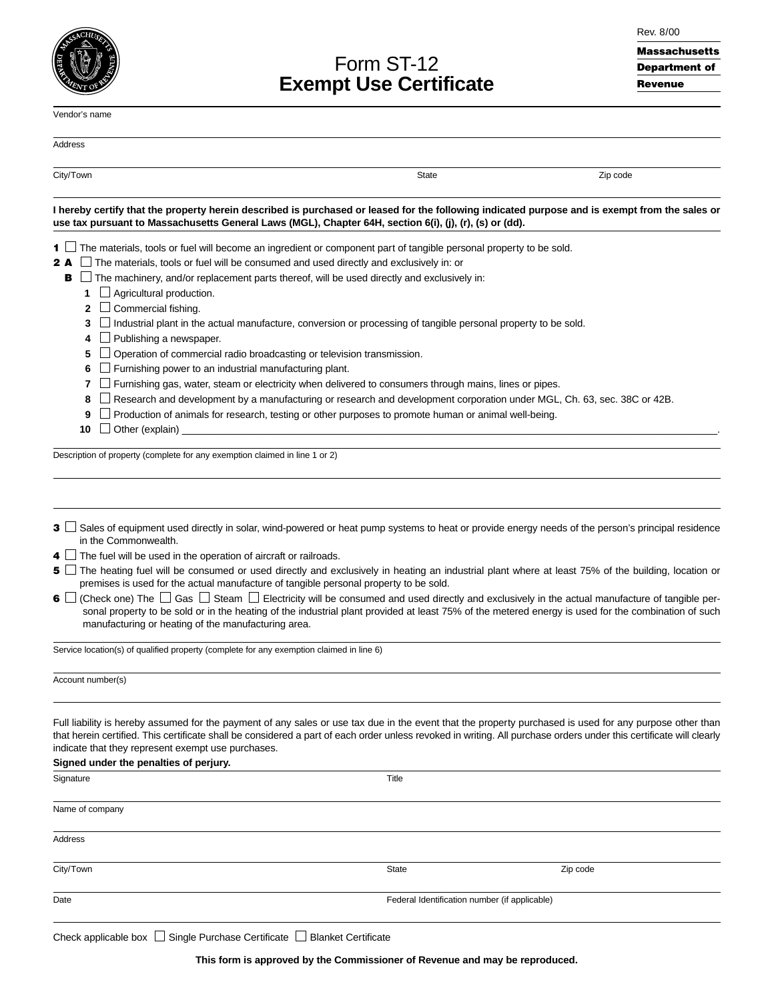| ď<br>c | <b>CHU<sub>S</sub></b> |
|--------|------------------------|
|        |                        |

# Form ST-12 **Exempt Use Certificate**

|  | Rev. 8/00 |
|--|-----------|
|--|-----------|

# Massachusetts Department of Revenue

| Vendor's name                                                                                                                                                                                                                                                                                                                                                                                                                   |                                               |          |
|---------------------------------------------------------------------------------------------------------------------------------------------------------------------------------------------------------------------------------------------------------------------------------------------------------------------------------------------------------------------------------------------------------------------------------|-----------------------------------------------|----------|
| Address                                                                                                                                                                                                                                                                                                                                                                                                                         |                                               |          |
| City/Town                                                                                                                                                                                                                                                                                                                                                                                                                       | <b>State</b>                                  | Zip code |
| I hereby certify that the property herein described is purchased or leased for the following indicated purpose and is exempt from the sales or<br>use tax pursuant to Massachusetts General Laws (MGL), Chapter 64H, section 6(i), (j), (r), (s) or (dd).                                                                                                                                                                       |                                               |          |
| The materials, tools or fuel will become an ingredient or component part of tangible personal property to be sold.<br>1 L                                                                                                                                                                                                                                                                                                       |                                               |          |
| The materials, tools or fuel will be consumed and used directly and exclusively in: or<br>2 A                                                                                                                                                                                                                                                                                                                                   |                                               |          |
| The machinery, and/or replacement parts thereof, will be used directly and exclusively in:<br>в                                                                                                                                                                                                                                                                                                                                 |                                               |          |
| Agricultural production.<br>1                                                                                                                                                                                                                                                                                                                                                                                                   |                                               |          |
| $\Box$ Commercial fishing.<br>2                                                                                                                                                                                                                                                                                                                                                                                                 |                                               |          |
| 3                                                                                                                                                                                                                                                                                                                                                                                                                               |                                               |          |
| Industrial plant in the actual manufacture, conversion or processing of tangible personal property to be sold.                                                                                                                                                                                                                                                                                                                  |                                               |          |
| Publishing a newspaper.<br>4                                                                                                                                                                                                                                                                                                                                                                                                    |                                               |          |
| Operation of commercial radio broadcasting or television transmission.<br>5                                                                                                                                                                                                                                                                                                                                                     |                                               |          |
| Furnishing power to an industrial manufacturing plant.<br>6                                                                                                                                                                                                                                                                                                                                                                     |                                               |          |
| Furnishing gas, water, steam or electricity when delivered to consumers through mains, lines or pipes.<br>7                                                                                                                                                                                                                                                                                                                     |                                               |          |
| Research and development by a manufacturing or research and development corporation under MGL, Ch. 63, sec. 38C or 42B.<br>8                                                                                                                                                                                                                                                                                                    |                                               |          |
| Production of animals for research, testing or other purposes to promote human or animal well-being.<br>9                                                                                                                                                                                                                                                                                                                       |                                               |          |
| 10<br>Other (explain)                                                                                                                                                                                                                                                                                                                                                                                                           |                                               |          |
|                                                                                                                                                                                                                                                                                                                                                                                                                                 |                                               |          |
| 3 $\Box$ Sales of equipment used directly in solar, wind-powered or heat pump systems to heat or provide energy needs of the person's principal residence<br>in the Commonwealth.                                                                                                                                                                                                                                               |                                               |          |
| <b>4</b> $\Box$ The fuel will be used in the operation of aircraft or railroads.                                                                                                                                                                                                                                                                                                                                                |                                               |          |
| 5 If the heating fuel will be consumed or used directly and exclusively in heating an industrial plant where at least 75% of the building, location or<br>premises is used for the actual manufacture of tangible personal property to be sold.                                                                                                                                                                                 |                                               |          |
| (Check one) The □ Gas □ Steam □ Electricity will be consumed and used directly and exclusively in the actual manufacture of tangible per-<br>6 L<br>sonal property to be sold or in the heating of the industrial plant provided at least 75% of the metered energy is used for the combination of such<br>manufacturing or heating of the manufacturing area.                                                                  |                                               |          |
| Service location(s) of qualified property (complete for any exemption claimed in line 6)                                                                                                                                                                                                                                                                                                                                        |                                               |          |
| Account number(s)                                                                                                                                                                                                                                                                                                                                                                                                               |                                               |          |
| Full liability is hereby assumed for the payment of any sales or use tax due in the event that the property purchased is used for any purpose other than<br>that herein certified. This certificate shall be considered a part of each order unless revoked in writing. All purchase orders under this certificate will clearly<br>indicate that they represent exempt use purchases.<br>Signed under the penalties of perjury. |                                               |          |
| Signature                                                                                                                                                                                                                                                                                                                                                                                                                       | Title                                         |          |
|                                                                                                                                                                                                                                                                                                                                                                                                                                 |                                               |          |
| Name of company                                                                                                                                                                                                                                                                                                                                                                                                                 |                                               |          |
| Address                                                                                                                                                                                                                                                                                                                                                                                                                         |                                               |          |
| City/Town                                                                                                                                                                                                                                                                                                                                                                                                                       | <b>State</b>                                  | Zip code |
| Date                                                                                                                                                                                                                                                                                                                                                                                                                            | Federal Identification number (if applicable) |          |

Check applicable box  $\Box$  Single Purchase Certificate  $\Box$  Blanket Certificate

**This form is approved by the Commissioner of Revenue and may be reproduced.**